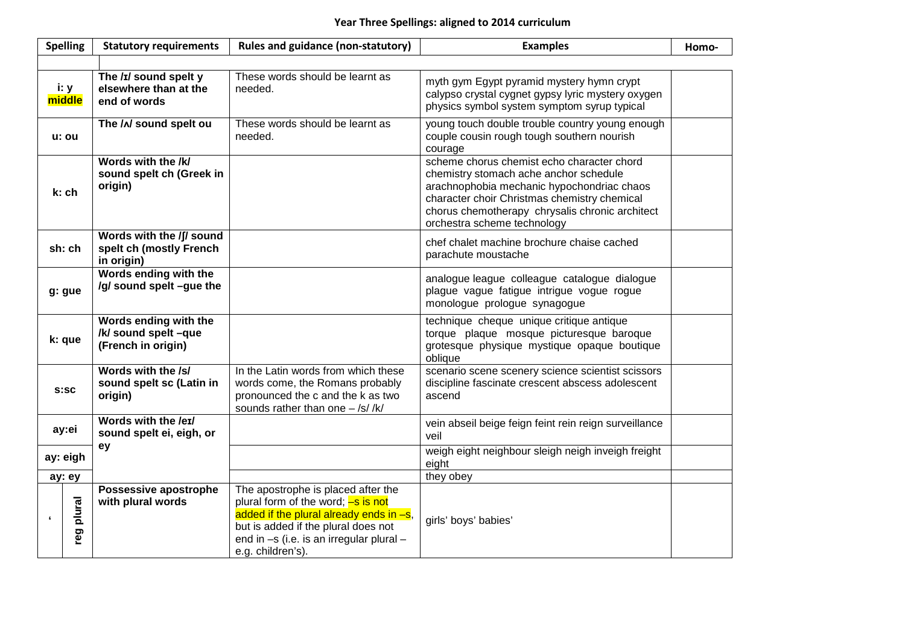## **Year Three Spellings: aligned to 2014 curriculum**

|            | <b>Spelling</b> | <b>Statutory requirements</b>                                       | Rules and guidance (non-statutory)                                                                                                                                                                                             | <b>Examples</b>                                                                                                                                                                                                                                                      | Homo- |
|------------|-----------------|---------------------------------------------------------------------|--------------------------------------------------------------------------------------------------------------------------------------------------------------------------------------------------------------------------------|----------------------------------------------------------------------------------------------------------------------------------------------------------------------------------------------------------------------------------------------------------------------|-------|
|            |                 |                                                                     |                                                                                                                                                                                                                                |                                                                                                                                                                                                                                                                      |       |
|            | i: y<br>middle  | The /ɪ/ sound spelt y<br>elsewhere than at the<br>end of words      | These words should be learnt as<br>needed.                                                                                                                                                                                     | myth gym Egypt pyramid mystery hymn crypt<br>calypso crystal cygnet gypsy lyric mystery oxygen<br>physics symbol system symptom syrup typical                                                                                                                        |       |
|            | u: ou           | The /^/ sound spelt ou                                              | These words should be learnt as<br>needed.                                                                                                                                                                                     | young touch double trouble country young enough<br>couple cousin rough tough southern nourish<br>courage                                                                                                                                                             |       |
|            | k: ch           | Words with the /k/<br>sound spelt ch (Greek in<br>origin)           |                                                                                                                                                                                                                                | scheme chorus chemist echo character chord<br>chemistry stomach ache anchor schedule<br>arachnophobia mechanic hypochondriac chaos<br>character choir Christmas chemistry chemical<br>chorus chemotherapy chrysalis chronic architect<br>orchestra scheme technology |       |
|            | sh: ch          | Words with the /f/ sound<br>spelt ch (mostly French<br>in origin)   |                                                                                                                                                                                                                                | chef chalet machine brochure chaise cached<br>parachute moustache                                                                                                                                                                                                    |       |
|            | g: gue          | Words ending with the<br>/g/ sound spelt -gue the                   |                                                                                                                                                                                                                                | analogue league colleague catalogue dialogue<br>plague vague fatigue intrigue vogue rogue<br>monologue prologue synagogue                                                                                                                                            |       |
| k: que     |                 | Words ending with the<br>/k/ sound spelt -que<br>(French in origin) |                                                                                                                                                                                                                                | technique cheque unique critique antique<br>torque plaque mosque picturesque baroque<br>grotesque physique mystique opaque boutique<br>oblique                                                                                                                       |       |
| S:SC       |                 | Words with the /s/<br>sound spelt sc (Latin in<br>origin)           | In the Latin words from which these<br>words come, the Romans probably<br>pronounced the c and the k as two<br>sounds rather than one $-$ /s/ /k/                                                                              | scenario scene scenery science scientist scissors<br>discipline fascinate crescent abscess adolescent<br>ascend                                                                                                                                                      |       |
| ay:ei      |                 | Words with the /eɪ/<br>sound spelt ei, eigh, or                     |                                                                                                                                                                                                                                | vein abseil beige feign feint rein reign surveillance<br>veil                                                                                                                                                                                                        |       |
| ay: eigh   |                 | ey                                                                  |                                                                                                                                                                                                                                | weigh eight neighbour sleigh neigh inveigh freight<br>eight                                                                                                                                                                                                          |       |
|            | ay: ey          |                                                                     |                                                                                                                                                                                                                                | they obey                                                                                                                                                                                                                                                            |       |
| $\epsilon$ | reg plural      | Possessive apostrophe<br>with plural words                          | The apostrophe is placed after the<br>plural form of the word; -s is not<br>added if the plural already ends in $-s$ ,<br>but is added if the plural does not<br>end in -s (i.e. is an irregular plural -<br>e.g. children's). | girls' boys' babies'                                                                                                                                                                                                                                                 |       |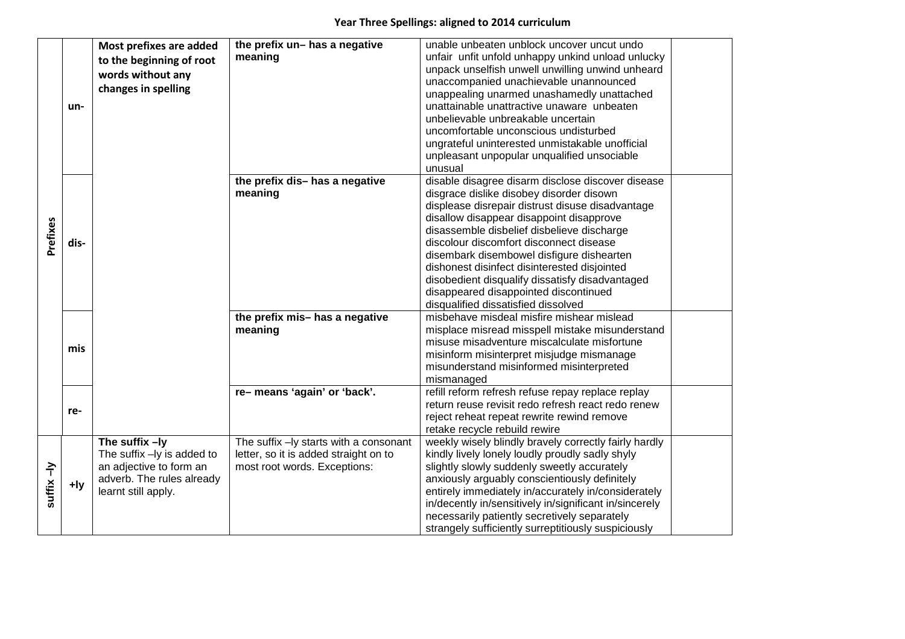## **Year Three Spellings: aligned to 2014 curriculum**

| Prefixes   | un-    | Most prefixes are added<br>to the beginning of root<br>words without any<br>changes in spelling                               | the prefix un- has a negative<br>meaning                                                                        | unable unbeaten unblock uncover uncut undo<br>unfair unfit unfold unhappy unkind unload unlucky<br>unpack unselfish unwell unwilling unwind unheard<br>unaccompanied unachievable unannounced<br>unappealing unarmed unashamedly unattached<br>unattainable unattractive unaware unbeaten<br>unbelievable unbreakable uncertain<br>uncomfortable unconscious undisturbed<br>ungrateful uninterested unmistakable unofficial<br>unpleasant unpopular unqualified unsociable<br>unusual                                  |  |
|------------|--------|-------------------------------------------------------------------------------------------------------------------------------|-----------------------------------------------------------------------------------------------------------------|------------------------------------------------------------------------------------------------------------------------------------------------------------------------------------------------------------------------------------------------------------------------------------------------------------------------------------------------------------------------------------------------------------------------------------------------------------------------------------------------------------------------|--|
|            | dis-   |                                                                                                                               | the prefix dis-has a negative<br>meaning                                                                        | disable disagree disarm disclose discover disease<br>disgrace dislike disobey disorder disown<br>displease disrepair distrust disuse disadvantage<br>disallow disappear disappoint disapprove<br>disassemble disbelief disbelieve discharge<br>discolour discomfort disconnect disease<br>disembark disembowel disfigure dishearten<br>dishonest disinfect disinterested disjointed<br>disobedient disqualify dissatisfy disadvantaged<br>disappeared disappointed discontinued<br>disqualified dissatisfied dissolved |  |
|            | mis    |                                                                                                                               | the prefix mis-has a negative<br>meaning                                                                        | misbehave misdeal misfire mishear mislead<br>misplace misread misspell mistake misunderstand<br>misuse misadventure miscalculate misfortune<br>misinform misinterpret misjudge mismanage<br>misunderstand misinformed misinterpreted<br>mismanaged                                                                                                                                                                                                                                                                     |  |
|            | re-    |                                                                                                                               | re-means 'again' or 'back'.                                                                                     | refill reform refresh refuse repay replace replay<br>return reuse revisit redo refresh react redo renew<br>reject reheat repeat rewrite rewind remove<br>retake recycle rebuild rewire                                                                                                                                                                                                                                                                                                                                 |  |
| suffix -ly | $+$ ly | The suffix $-ly$<br>The suffix -ly is added to<br>an adjective to form an<br>adverb. The rules already<br>learnt still apply. | The suffix -ly starts with a consonant<br>letter, so it is added straight on to<br>most root words. Exceptions: | weekly wisely blindly bravely correctly fairly hardly<br>kindly lively lonely loudly proudly sadly shyly<br>slightly slowly suddenly sweetly accurately<br>anxiously arguably conscientiously definitely<br>entirely immediately in/accurately in/considerately<br>in/decently in/sensitively in/significant in/sincerely<br>necessarily patiently secretively separately<br>strangely sufficiently surreptitiously suspiciously                                                                                       |  |